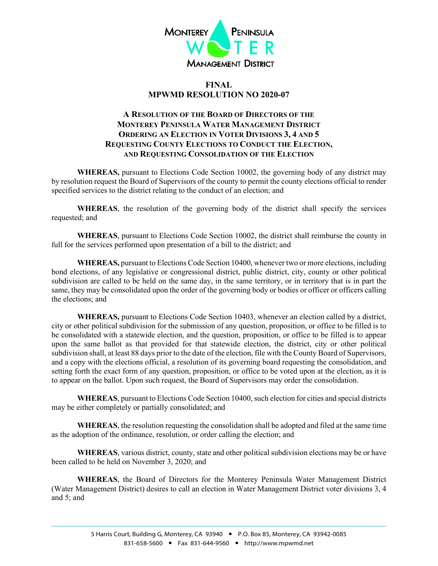

## **FINAL MPWMD RESOLUTION NO 2020-07**

## **A RESOLUTION OF THE BOARD OF DIRECTORS OF THE MONTEREY PENINSULA WATER MANAGEMENT DISTRICT ORDERING AN ELECTION IN VOTER DIVISIONS 3, 4 AND 5 REQUESTING COUNTY ELECTIONS TO CONDUCT THE ELECTION, AND REQUESTING CONSOLIDATION OF THE ELECTION**

**WHEREAS,** pursuant to Elections Code Section 10002, the governing body of any district may by resolution request the Board of Supervisors of the county to permit the county elections official to render specified services to the district relating to the conduct of an election; and

**WHEREAS**, the resolution of the governing body of the district shall specify the services requested; and

**WHEREAS**, pursuant to Elections Code Section 10002, the district shall reimburse the county in full for the services performed upon presentation of a bill to the district; and

**WHEREAS,** pursuant to Elections Code Section 10400, whenever two or more elections, including bond elections, of any legislative or congressional district, public district, city, county or other political subdivision are called to be held on the same day, in the same territory, or in territory that is in part the same, they may be consolidated upon the order of the governing body or bodies or officer or officers calling the elections; and

**WHEREAS,** pursuant to Elections Code Section 10403, whenever an election called by a district, city or other political subdivision for the submission of any question, proposition, or office to be filled is to be consolidated with a statewide election, and the question, proposition, or office to be filled is to appear upon the same ballot as that provided for that statewide election, the district, city or other political subdivision shall, at least 88 days prior to the date of the election, file with the County Board of Supervisors, and a copy with the elections official, a resolution of its governing board requesting the consolidation, and setting forth the exact form of any question, proposition, or office to be voted upon at the election, as it is to appear on the ballot. Upon such request, the Board of Supervisors may order the consolidation.

**WHEREAS**, pursuant to Elections Code Section 10400, such election for cities and special districts may be either completely or partially consolidated; and

**WHEREAS**, the resolution requesting the consolidation shall be adopted and filed at the same time as the adoption of the ordinance, resolution, or order calling the election; and

**WHEREAS**, various district, county, state and other political subdivision elections may be or have been called to be held on November 3, 2020; and

**WHEREAS**, the Board of Directors for the Monterey Peninsula Water Management District (Water Management District) desires to call an election in Water Management District voter divisions 3, 4 and 5; and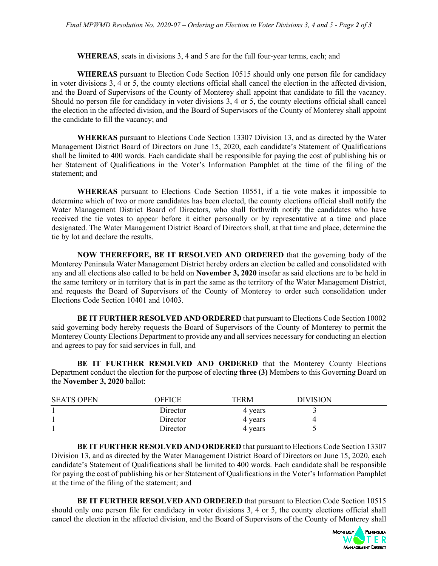**WHEREAS**, seats in divisions 3, 4 and 5 are for the full four-year terms, each; and

**WHEREAS** pursuant to Election Code Section 10515 should only one person file for candidacy in voter divisions 3, 4 or 5, the county elections official shall cancel the election in the affected division, and the Board of Supervisors of the County of Monterey shall appoint that candidate to fill the vacancy. Should no person file for candidacy in voter divisions 3, 4 or 5, the county elections official shall cancel the election in the affected division, and the Board of Supervisors of the County of Monterey shall appoint the candidate to fill the vacancy; and

**WHEREAS** pursuant to Elections Code Section 13307 Division 13, and as directed by the Water Management District Board of Directors on June 15, 2020, each candidate's Statement of Qualifications shall be limited to 400 words. Each candidate shall be responsible for paying the cost of publishing his or her Statement of Qualifications in the Voter's Information Pamphlet at the time of the filing of the statement; and

**WHEREAS** pursuant to Elections Code Section 10551, if a tie vote makes it impossible to determine which of two or more candidates has been elected, the county elections official shall notify the Water Management District Board of Directors, who shall forthwith notify the candidates who have received the tie votes to appear before it either personally or by representative at a time and place designated. The Water Management District Board of Directors shall, at that time and place, determine the tie by lot and declare the results.

**NOW THEREFORE, BE IT RESOLVED AND ORDERED** that the governing body of the Monterey Peninsula Water Management District hereby orders an election be called and consolidated with any and all elections also called to be held on **November 3, 2020** insofar as said elections are to be held in the same territory or in territory that is in part the same as the territory of the Water Management District, and requests the Board of Supervisors of the County of Monterey to order such consolidation under Elections Code Section 10401 and 10403.

**BE IT FURTHER RESOLVED AND ORDERED** that pursuant to Elections Code Section 10002 said governing body hereby requests the Board of Supervisors of the County of Monterey to permit the Monterey County Elections Department to provide any and all services necessary for conducting an election and agrees to pay for said services in full, and

**BE IT FURTHER RESOLVED AND ORDERED** that the Monterey County Elections Department conduct the election for the purpose of electing **three (3)** Members to this Governing Board on the **November 3, 2020** ballot:

| <b>SEATS OPEN</b> | OEEICE   | <b>TERM</b> | <b>DIVISION</b> |  |
|-------------------|----------|-------------|-----------------|--|
|                   | Director | 4 years     |                 |  |
|                   | Director | 4 years     |                 |  |
|                   | Director | 4 years     |                 |  |

**BE IT FURTHER RESOLVED AND ORDERED** that pursuant to Elections Code Section 13307 Division 13, and as directed by the Water Management District Board of Directors on June 15, 2020, each candidate's Statement of Qualifications shall be limited to 400 words. Each candidate shall be responsible for paying the cost of publishing his or her Statement of Qualifications in the Voter's Information Pamphlet at the time of the filing of the statement; and

**BE IT FURTHER RESOLVED AND ORDERED** that pursuant to Election Code Section 10515 should only one person file for candidacy in voter divisions 3, 4 or 5, the county elections official shall cancel the election in the affected division, and the Board of Supervisors of the County of Monterey shall